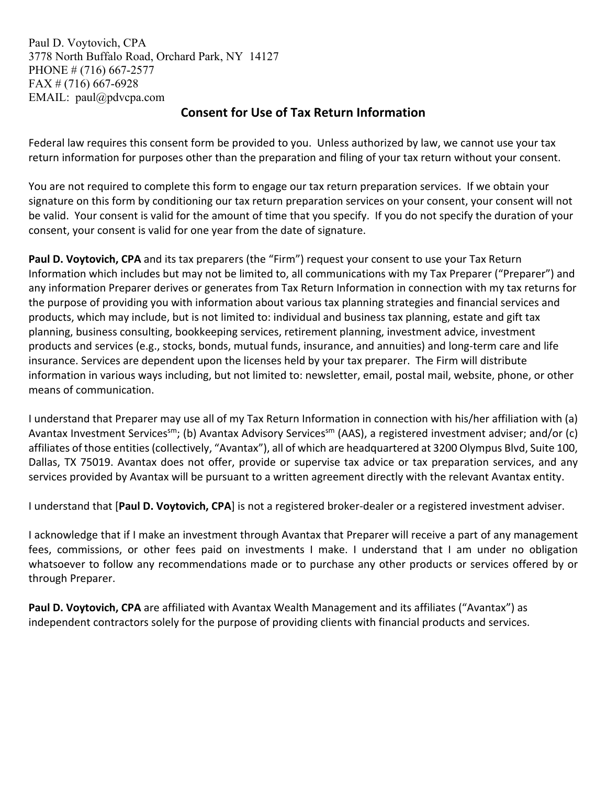Paul D. Voytovich, CPA 3778 North Buffalo Road, Orchard Park, NY 14127 PHONE # (716) 667-2577 FAX # (716) 667-6928 EMAIL: paul@pdvcpa.com

## **Consent for Use of Tax Return Information**

Federal law requires this consent form be provided to you. Unless authorized by law, we cannot use your tax return information for purposes other than the preparation and filing of your tax return without your consent.

You are not required to complete this form to engage our tax return preparation services. If we obtain your signature on this form by conditioning our tax return preparation services on your consent, your consent will not be valid. Your consent is valid for the amount of time that you specify. If you do not specify the duration of your consent, your consent is valid for one year from the date of signature.

**Paul D. Voytovich, CPA** and its tax preparers (the "Firm") request your consent to use your Tax Return Information which includes but may not be limited to, all communications with my Tax Preparer ("Preparer") and any information Preparer derives or generates from Tax Return Information in connection with my tax returns for the purpose of providing you with information about various tax planning strategies and financial services and products, which may include, but is not limited to: individual and business tax planning, estate and gift tax planning, business consulting, bookkeeping services, retirement planning, investment advice, investment products and services (e.g., stocks, bonds, mutual funds, insurance, and annuities) and long-term care and life insurance. Services are dependent upon the licenses held by your tax preparer. The Firm will distribute information in various ways including, but not limited to: newsletter, email, postal mail, website, phone, or other means of communication.

I understand that Preparer may use all of my Tax Return Information in connection with his/her affiliation with (a) Avantax Investment Services<sup>sm</sup>; (b) Avantax Advisory Services<sup>sm</sup> (AAS), a registered investment adviser; and/or (c) affiliates of those entities (collectively, "Avantax"), all of which are headquartered at 3200 Olympus Blvd, Suite 100, Dallas, TX 75019. Avantax does not offer, provide or supervise tax advice or tax preparation services, and any services provided by Avantax will be pursuant to a written agreement directly with the relevant Avantax entity.

I understand that [**Paul D. Voytovich, CPA**] is not a registered broker-dealer or a registered investment adviser.

I acknowledge that if I make an investment through Avantax that Preparer will receive a part of any management fees, commissions, or other fees paid on investments I make. I understand that I am under no obligation whatsoever to follow any recommendations made or to purchase any other products or services offered by or through Preparer.

Paul D. Voytovich, CPA are affiliated with Avantax Wealth Management and its affiliates ("Avantax") as independent contractors solely for the purpose of providing clients with financial products and services.